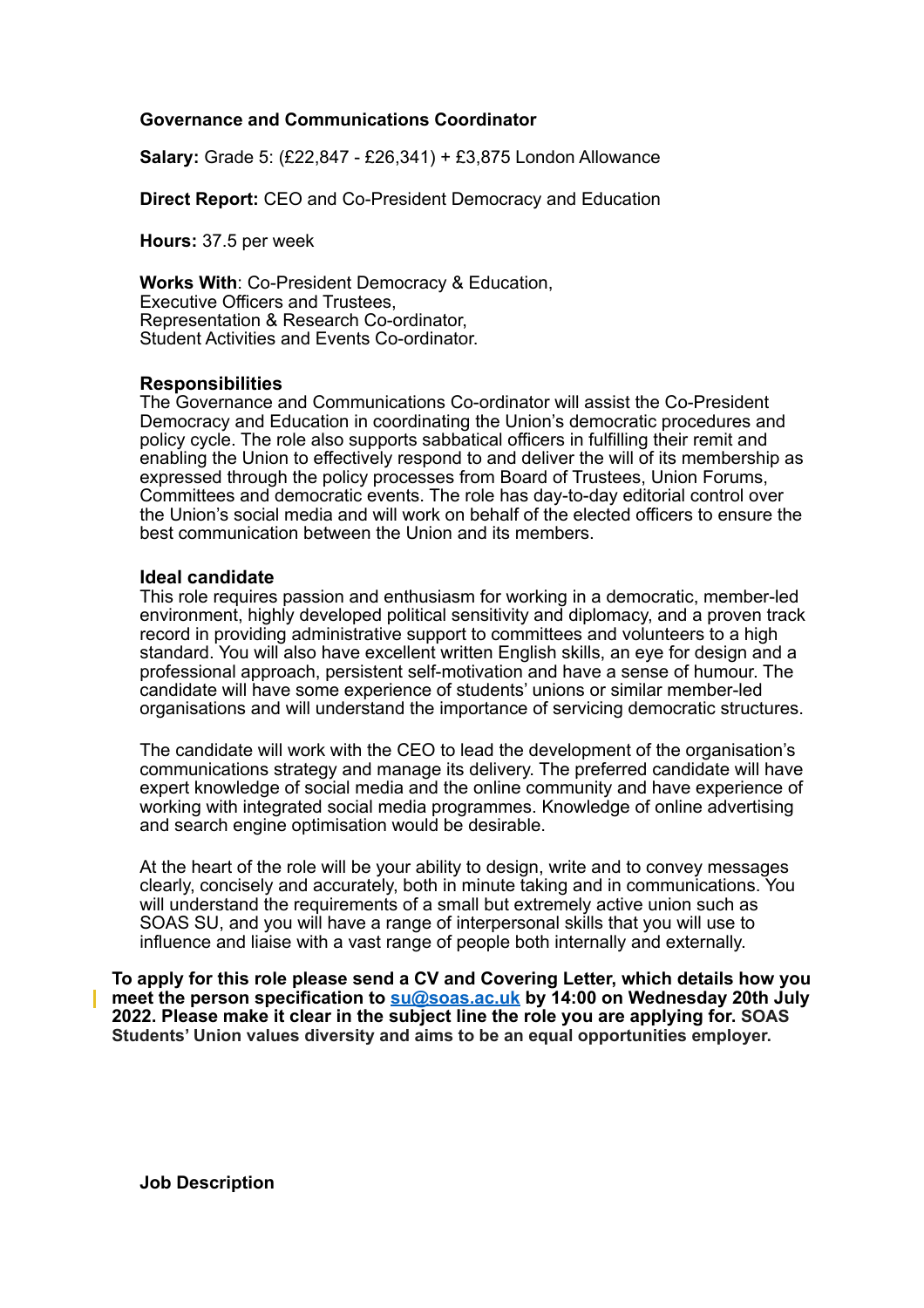## **Governance and Communications Coordinator**

**Salary:** Grade 5: (£22,847 - £26,341) + £3,875 London Allowance

**Direct Report:** CEO and Co-President Democracy and Education

**Hours:** 37.5 per week

**Works With**: Co-President Democracy & Education, Executive Officers and Trustees, Representation & Research Co-ordinator, Student Activities and Events Co-ordinator.

### **Responsibilities**

The Governance and Communications Co-ordinator will assist the Co-President Democracy and Education in coordinating the Union's democratic procedures and policy cycle. The role also supports sabbatical officers in fulfilling their remit and enabling the Union to effectively respond to and deliver the will of its membership as expressed through the policy processes from Board of Trustees, Union Forums, Committees and democratic events. The role has day-to-day editorial control over the Union's social media and will work on behalf of the elected officers to ensure the best communication between the Union and its members.

## **Ideal candidate**

This role requires passion and enthusiasm for working in a democratic, member-led environment, highly developed political sensitivity and diplomacy, and a proven track record in providing administrative support to committees and volunteers to a high standard. You will also have excellent written English skills, an eye for design and a professional approach, persistent self-motivation and have a sense of humour. The candidate will have some experience of students' unions or similar member-led organisations and will understand the importance of servicing democratic structures.

The candidate will work with the CEO to lead the development of the organisation's communications strategy and manage its delivery. The preferred candidate will have expert knowledge of social media and the online community and have experience of working with integrated social media programmes. Knowledge of online advertising and search engine optimisation would be desirable.

At the heart of the role will be your ability to design, write and to convey messages clearly, concisely and accurately, both in minute taking and in communications. You will understand the requirements of a small but extremely active union such as SOAS SU, and you will have a range of interpersonal skills that you will use to influence and liaise with a vast range of people both internally and externally.

**To apply for this role please send a CV and Covering Letter, which details how you meet the person specification to [su@soas.ac.uk](mailto:su@soas.ac.uk) by 14:00 on Wednesday 20th July 2022. Please make it clear in the subject line the role you are applying for. SOAS Students' Union values diversity and aims to be an equal opportunities employer.**

**Job Description**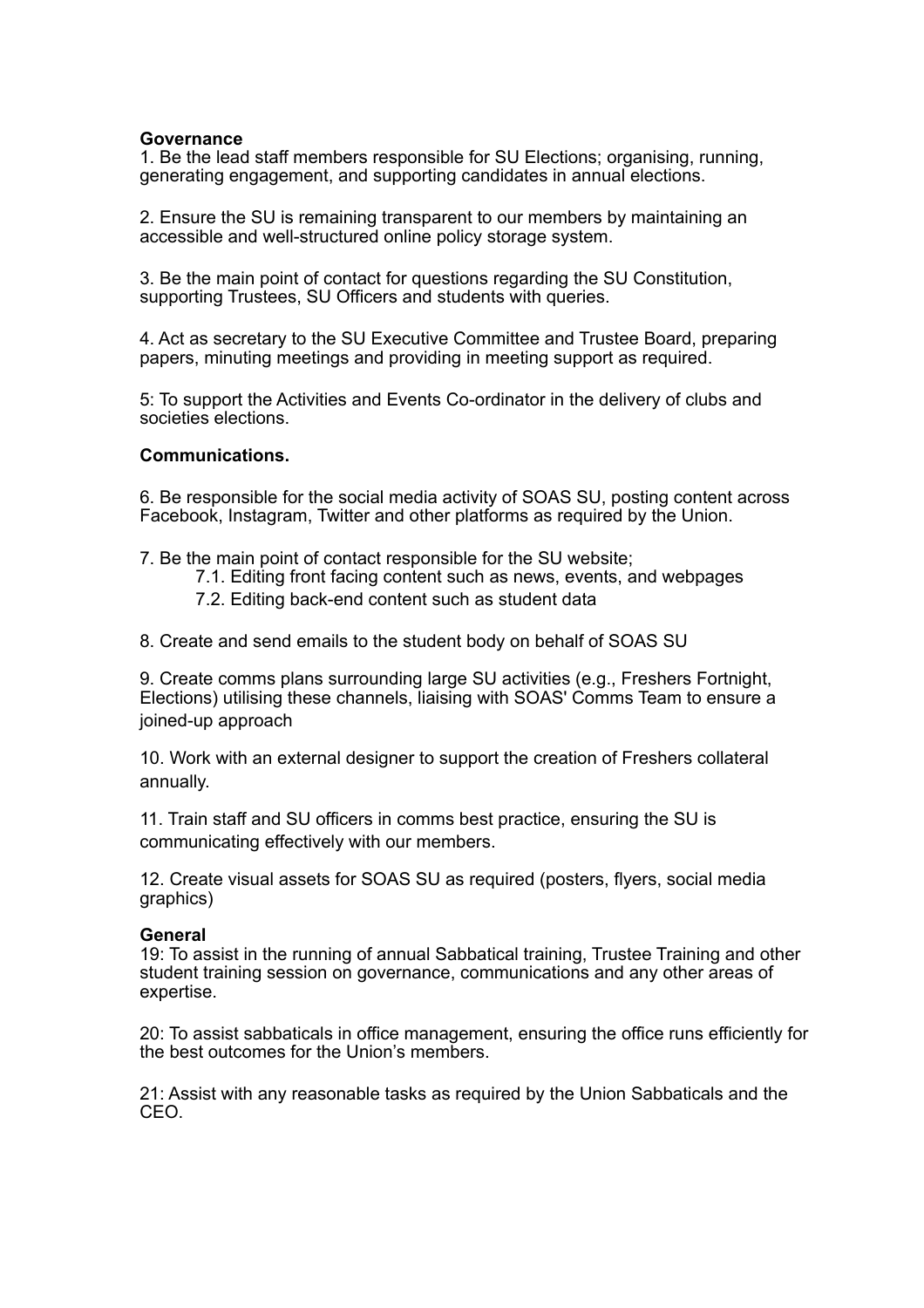## **Governance**

1. Be the lead staff members responsible for SU Elections; organising, running, generating engagement, and supporting candidates in annual elections.

2. Ensure the SU is remaining transparent to our members by maintaining an accessible and well-structured online policy storage system.

3. Be the main point of contact for questions regarding the SU Constitution, supporting Trustees, SU Officers and students with queries.

4. Act as secretary to the SU Executive Committee and Trustee Board, preparing papers, minuting meetings and providing in meeting support as required.

5: To support the Activities and Events Co-ordinator in the delivery of clubs and societies elections.

## **Communications.**

6. Be responsible for the social media activity of SOAS SU, posting content across Facebook, Instagram, Twitter and other platforms as required by the Union.

- 7. Be the main point of contact responsible for the SU website;
	- 7.1. Editing front facing content such as news, events, and webpages
	- 7.2. Editing back-end content such as student data
- 8. Create and send emails to the student body on behalf of SOAS SU

9. Create comms plans surrounding large SU activities (e.g., Freshers Fortnight, Elections) utilising these channels, liaising with SOAS' Comms Team to ensure a joined-up approach

10. Work with an external designer to support the creation of Freshers collateral annually.

11. Train staff and SU officers in comms best practice, ensuring the SU is communicating effectively with our members.

12. Create visual assets for SOAS SU as required (posters, flyers, social media graphics)

### **General**

19: To assist in the running of annual Sabbatical training, Trustee Training and other student training session on governance, communications and any other areas of expertise.

20: To assist sabbaticals in office management, ensuring the office runs efficiently for the best outcomes for the Union's members.

21: Assist with any reasonable tasks as required by the Union Sabbaticals and the CEO.